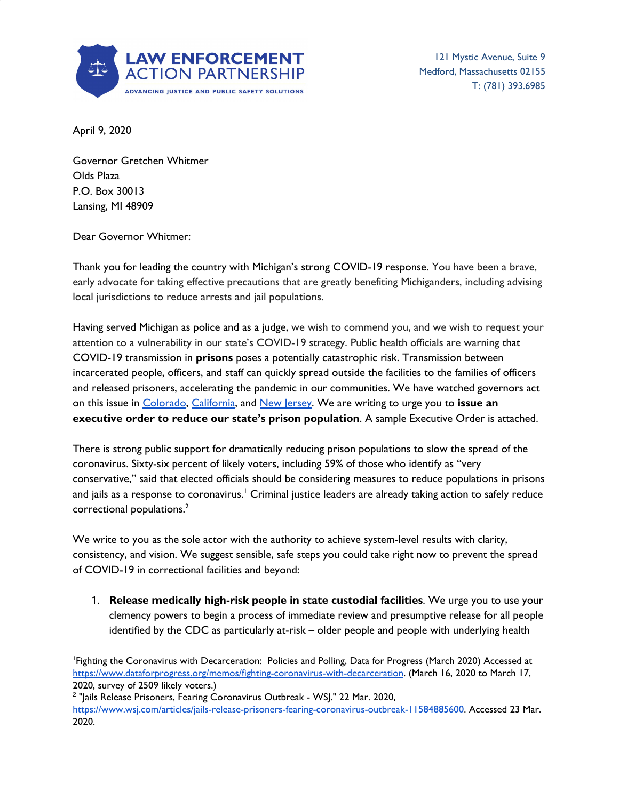

121 Mystic Avenue, Suite 9 Medford, Massachusetts 02155 T: (781) 393.6985

April 9, 2020

Governor Gretchen Whitmer Olds Plaza P.O. Box 30013 Lansing, MI 48909

Dear Governor Whitmer:

Thank you for leading the country with Michigan's strong COVID-19 response. You have been a brave, early advocate for taking effective precautions that are greatly benefiting Michiganders, including advising local jurisdictions to reduce arrests and jail populations.

Having served Michigan as police and as a judge, we wish to commend you, and we wish to request your attention to a vulnerability in our state's COVID-19 strategy. Public health officials are warning that COVID-19 transmission in **prisons** poses a potentially catastrophic risk. Transmission between incarcerated people, officers, and staff can quickly spread outside the facilities to the families of officers and released prisoners, accelerating the pandemic in our communities. We have watched governors act on this issue in [Colorado](https://www.denverpost.com/2020/03/26/polis-executive-orders-coronavirus-relief/), [California](https://www.latimes.com/california/story/2020-03-31/coronavirus-california-release-3500-inmates-prisons), and New [Jersey](https://www.nytimes.com/2020/03/23/nyregion/coronavirus-nj-inmates-release.html). We are writing to urge you to **issue an executive order to reduce our state's prison population**. A sample Executive Order is attached.

There is strong public support for dramatically reducing prison populations to slow the spread of the coronavirus. Sixty-six percent of likely voters, including 59% of those who identify as "very conservative," said that elected officials should be considering measures to reduce populations in prisons and jails as a response to coronavirus.' Criminal justice leaders are already taking action to safely reduce correctional populations. 2

We write to you as the sole actor with the authority to achieve system-level results with clarity, consistency, and vision. We suggest sensible, safe steps you could take right now to prevent the spread of COVID-19 in correctional facilities and beyond:

1. **Release medically high-risk people in state custodial facilities**. We urge you to use your clemency powers to begin a process of immediate review and presumptive release for all people identified by the CDC as particularly at-risk – older people and people with underlying health

<sup>1</sup>Fighting the Coronavirus with Decarceration: Policies and Polling, Data for Progress (March 2020) Accessed at <https://www.dataforprogress.org/memos/fighting-coronavirus-with-decarceration>. (March 16, 2020 to March 17, 2020, survey of 2509 likely voters.)

<sup>&</sup>lt;sup>2</sup> "Jails Release Prisoners, Fearing Coronavirus Outbreak - WSJ." 22 Mar. 2020, <https://www.wsj.com/articles/jails-release-prisoners-fearing-coronavirus-outbreak-11584885600>. Accessed 23 Mar. 2020.